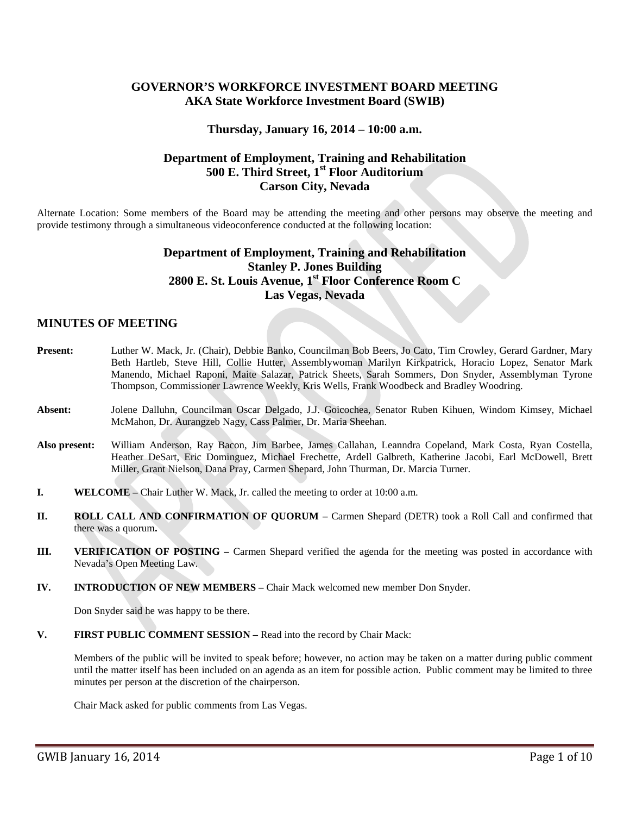# **GOVERNOR'S WORKFORCE INVESTMENT BOARD MEETING AKA State Workforce Investment Board (SWIB)**

# **Thursday, January 16, 2014 – 10:00 a.m.**

# **Department of Employment, Training and Rehabilitation 500 E. Third Street, 1st Floor Auditorium Carson City, Nevada**

Alternate Location: Some members of the Board may be attending the meeting and other persons may observe the meeting and provide testimony through a simultaneous videoconference conducted at the following location:

# **Department of Employment, Training and Rehabilitation Stanley P. Jones Building 2800 E. St. Louis Avenue, 1st Floor Conference Room C Las Vegas, Nevada**

# **MINUTES OF MEETING**

| <b>Present:</b>                                                                              | Luther W. Mack, Jr. (Chair), Debbie Banko, Councilman Bob Beers, Jo Cato, Tim Crowley, Gerard Gardner, Mary<br>Beth Hartleb, Steve Hill, Collie Hutter, Assemblywoman Marilyn Kirkpatrick, Horacio Lopez, Senator Mark<br>Manendo, Michael Raponi, Maite Salazar, Patrick Sheets, Sarah Sommers, Don Snyder, Assemblyman Tyrone<br>Thompson, Commissioner Lawrence Weekly, Kris Wells, Frank Woodbeck and Bradley Woodring. |
|----------------------------------------------------------------------------------------------|-----------------------------------------------------------------------------------------------------------------------------------------------------------------------------------------------------------------------------------------------------------------------------------------------------------------------------------------------------------------------------------------------------------------------------|
| Absent:                                                                                      | Jolene Dalluhn, Councilman Oscar Delgado, J.J. Goicochea, Senator Ruben Kihuen, Windom Kimsey, Michael<br>McMahon, Dr. Aurangzeb Nagy, Cass Palmer, Dr. Maria Sheehan.                                                                                                                                                                                                                                                      |
| Also present:                                                                                | William Anderson, Ray Bacon, Jim Barbee, James Callahan, Leanndra Copeland, Mark Costa, Ryan Costella,<br>Heather DeSart, Eric Dominguez, Michael Frechette, Ardell Galbreth, Katherine Jacobi, Earl McDowell, Brett<br>Miller, Grant Nielson, Dana Pray, Carmen Shepard, John Thurman, Dr. Marcia Turner.                                                                                                                  |
| Ι.<br><b>WELCOME</b> – Chair Luther W. Mack, Jr. called the meeting to order at $10:00$ a.m. |                                                                                                                                                                                                                                                                                                                                                                                                                             |
| II.                                                                                          | ROLL CALL AND CONFIRMATION OF QUORUM - Carmen Shepard (DETR) took a Roll Call and confirmed that<br>there was a quorum.                                                                                                                                                                                                                                                                                                     |

- **III. VERIFICATION OF POSTING –** Carmen Shepard verified the agenda for the meeting was posted in accordance with Nevada's Open Meeting Law.
- **IV. INTRODUCTION OF NEW MEMBERS –** Chair Mack welcomed new member Don Snyder.

Don Snyder said he was happy to be there.

**V. FIRST PUBLIC COMMENT SESSION –** Read into the record by Chair Mack:

Members of the public will be invited to speak before; however, no action may be taken on a matter during public comment until the matter itself has been included on an agenda as an item for possible action. Public comment may be limited to three minutes per person at the discretion of the chairperson.

Chair Mack asked for public comments from Las Vegas.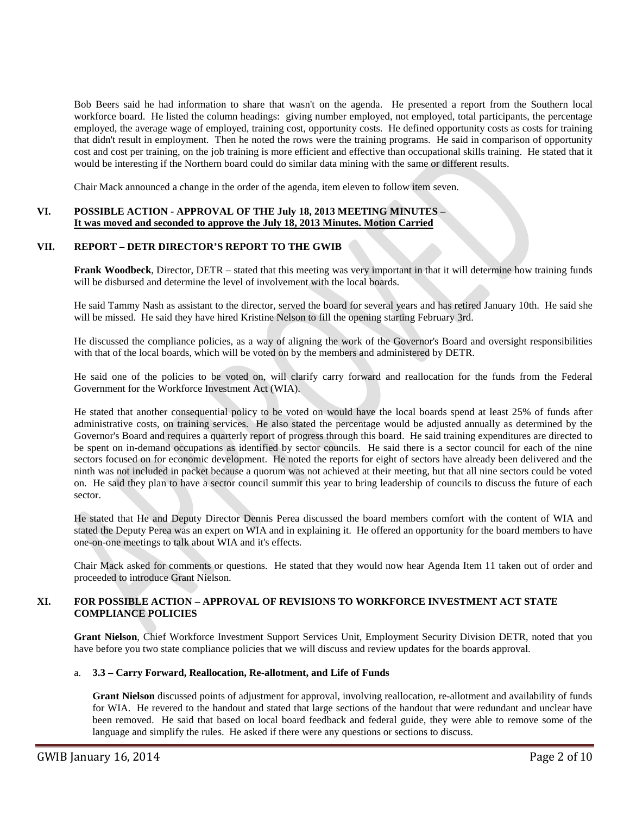Bob Beers said he had information to share that wasn't on the agenda. He presented a report from the Southern local workforce board. He listed the column headings: giving number employed, not employed, total participants, the percentage employed, the average wage of employed, training cost, opportunity costs. He defined opportunity costs as costs for training that didn't result in employment. Then he noted the rows were the training programs. He said in comparison of opportunity cost and cost per training, on the job training is more efficient and effective than occupational skills training. He stated that it would be interesting if the Northern board could do similar data mining with the same or different results.

Chair Mack announced a change in the order of the agenda, item eleven to follow item seven.

## **VI. POSSIBLE ACTION - APPROVAL OF THE July 18, 2013 MEETING MINUTES – It was moved and seconded to approve the July 18, 2013 Minutes. Motion Carried**

## **VII. REPORT – DETR DIRECTOR'S REPORT TO THE GWIB**

**Frank Woodbeck**, Director, DETR – stated that this meeting was very important in that it will determine how training funds will be disbursed and determine the level of involvement with the local boards.

He said Tammy Nash as assistant to the director, served the board for several years and has retired January 10th. He said she will be missed. He said they have hired Kristine Nelson to fill the opening starting February 3rd.

He discussed the compliance policies, as a way of aligning the work of the Governor's Board and oversight responsibilities with that of the local boards, which will be voted on by the members and administered by DETR.

He said one of the policies to be voted on, will clarify carry forward and reallocation for the funds from the Federal Government for the Workforce Investment Act (WIA).

He stated that another consequential policy to be voted on would have the local boards spend at least 25% of funds after administrative costs, on training services. He also stated the percentage would be adjusted annually as determined by the Governor's Board and requires a quarterly report of progress through this board. He said training expenditures are directed to be spent on in-demand occupations as identified by sector councils. He said there is a sector council for each of the nine sectors focused on for economic development. He noted the reports for eight of sectors have already been delivered and the ninth was not included in packet because a quorum was not achieved at their meeting, but that all nine sectors could be voted on. He said they plan to have a sector council summit this year to bring leadership of councils to discuss the future of each sector.

He stated that He and Deputy Director Dennis Perea discussed the board members comfort with the content of WIA and stated the Deputy Perea was an expert on WIA and in explaining it. He offered an opportunity for the board members to have one-on-one meetings to talk about WIA and it's effects.

Chair Mack asked for comments or questions. He stated that they would now hear Agenda Item 11 taken out of order and proceeded to introduce Grant Nielson.

## **XI. FOR POSSIBLE ACTION – APPROVAL OF REVISIONS TO WORKFORCE INVESTMENT ACT STATE COMPLIANCE POLICIES**

**Grant Nielson**, Chief Workforce Investment Support Services Unit, Employment Security Division DETR, noted that you have before you two state compliance policies that we will discuss and review updates for the boards approval.

### a. **3.3 – Carry Forward, Reallocation, Re-allotment, and Life of Funds**

**Grant Nielson** discussed points of adjustment for approval, involving reallocation, re-allotment and availability of funds for WIA. He revered to the handout and stated that large sections of the handout that were redundant and unclear have been removed. He said that based on local board feedback and federal guide, they were able to remove some of the language and simplify the rules. He asked if there were any questions or sections to discuss.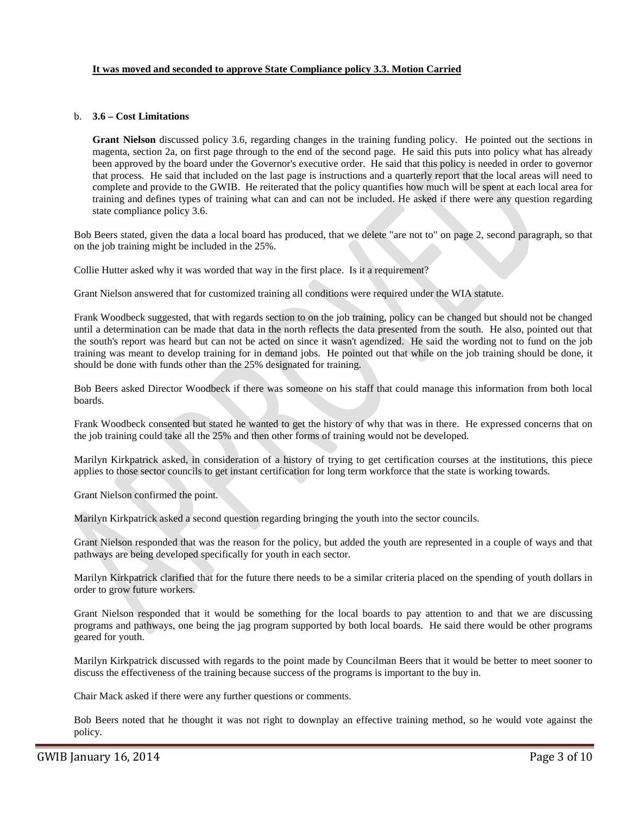#### **It was moved and seconded to approve State Compliance policy 3.3. Motion Carried**

#### b. **3.6 – Cost Limitations**

Grant Nielson discussed policy 3.6, regarding changes in the training funding policy. He pointed out the sections in magenta, section 2a, on first page through to the end of the second page. He said this puts into policy what has already been approved by the board under the Governor's executive order. He said that this policy is needed in order to governor that process. He said that included on the last page is instructions and a quarterly report that the local areas will need to complete and provide to the GWIB. He reiterated that the policy quantifies how much will be spent at each local area for training and defines types of training what can and can not be included. He asked if there were any question regarding state compliance policy 3.6.

Bob Beers stated, given the data a local board has produced, that we delete "are not to" on page 2, second paragraph, so that on the job training might be included in the 25%.

Collie Hutter asked why it was worded that way in the first place. Is it a requirement?

Grant Nielson answered that for customized training all conditions were required under the WIA statute.

Frank Woodbeck suggested, that with regards section to on the job training, policy can be changed but should not be changed until a determination can be made that data in the north reflects the data presented from the south. He also, pointed out that the south's report was heard but can not be acted on since it wasn't agendized. He said the wording not to fund on the job training was meant to develop training for in demand jobs. He pointed out that while on the job training should be done, it should be done with funds other than the 25% designated for training.

Bob Beers asked Director Woodbeck if there was someone on his staff that could manage this information from both local boards.

Frank Woodbeck consented but stated he wanted to get the history of why that was in there. He expressed concerns that on the job training could take all the 25% and then other forms of training would not be developed.

Marilyn Kirkpatrick asked, in consideration of a history of trying to get certification courses at the institutions, this piece applies to those sector councils to get instant certification for long term workforce that the state is working towards.

Grant Nielson confirmed the point.

Marilyn Kirkpatrick asked a second question regarding bringing the youth into the sector councils.

Grant Nielson responded that was the reason for the policy, but added the youth are represented in a couple of ways and that pathways are being developed specifically for youth in each sector.

Marilyn Kirkpatrick clarified that for the future there needs to be a similar criteria placed on the spending of youth dollars in order to grow future workers.

Grant Nielson responded that it would be something for the local boards to pay attention to and that we are discussing programs and pathways, one being the jag program supported by both local boards. He said there would be other programs geared for youth.

Marilyn Kirkpatrick discussed with regards to the point made by Councilman Beers that it would be better to meet sooner to discuss the effectiveness of the training because success of the programs is important to the buy in.

Chair Mack asked if there were any further questions or comments.

Bob Beers noted that he thought it was not right to downplay an effective training method, so he would vote against the policy.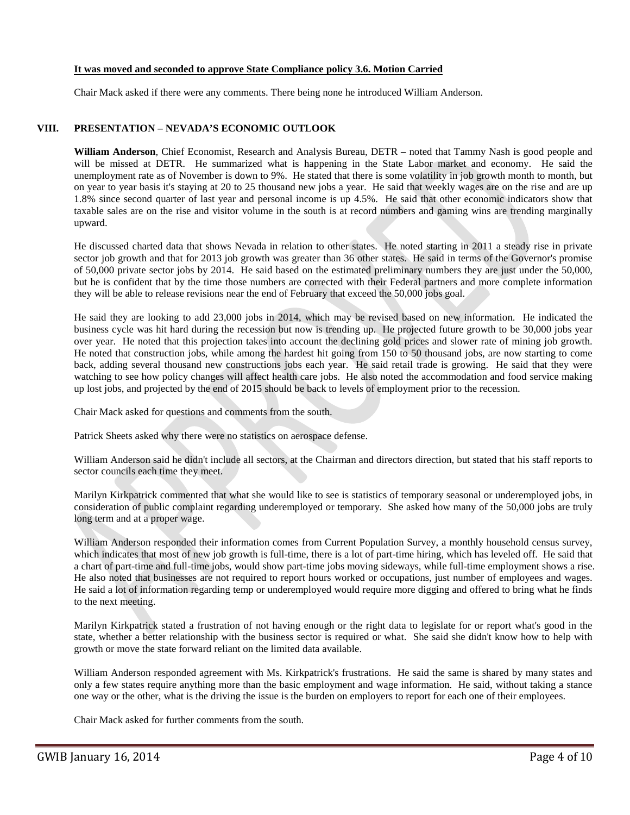#### **It was moved and seconded to approve State Compliance policy 3.6. Motion Carried**

Chair Mack asked if there were any comments. There being none he introduced William Anderson.

#### **VIII. PRESENTATION – NEVADA'S ECONOMIC OUTLOOK**

**William Anderson**, Chief Economist, Research and Analysis Bureau, DETR – noted that Tammy Nash is good people and will be missed at DETR. He summarized what is happening in the State Labor market and economy. He said the unemployment rate as of November is down to 9%. He stated that there is some volatility in job growth month to month, but on year to year basis it's staying at 20 to 25 thousand new jobs a year. He said that weekly wages are on the rise and are up 1.8% since second quarter of last year and personal income is up 4.5%. He said that other economic indicators show that taxable sales are on the rise and visitor volume in the south is at record numbers and gaming wins are trending marginally upward.

He discussed charted data that shows Nevada in relation to other states. He noted starting in 2011 a steady rise in private sector job growth and that for 2013 job growth was greater than 36 other states. He said in terms of the Governor's promise of 50,000 private sector jobs by 2014. He said based on the estimated preliminary numbers they are just under the 50,000, but he is confident that by the time those numbers are corrected with their Federal partners and more complete information they will be able to release revisions near the end of February that exceed the 50,000 jobs goal.

He said they are looking to add 23,000 jobs in 2014, which may be revised based on new information. He indicated the business cycle was hit hard during the recession but now is trending up. He projected future growth to be 30,000 jobs year over year. He noted that this projection takes into account the declining gold prices and slower rate of mining job growth. He noted that construction jobs, while among the hardest hit going from 150 to 50 thousand jobs, are now starting to come back, adding several thousand new constructions jobs each year. He said retail trade is growing. He said that they were watching to see how policy changes will affect health care jobs. He also noted the accommodation and food service making up lost jobs, and projected by the end of 2015 should be back to levels of employment prior to the recession.

Chair Mack asked for questions and comments from the south.

Patrick Sheets asked why there were no statistics on aerospace defense.

William Anderson said he didn't include all sectors, at the Chairman and directors direction, but stated that his staff reports to sector councils each time they meet.

Marilyn Kirkpatrick commented that what she would like to see is statistics of temporary seasonal or underemployed jobs, in consideration of public complaint regarding underemployed or temporary. She asked how many of the 50,000 jobs are truly long term and at a proper wage.

William Anderson responded their information comes from Current Population Survey, a monthly household census survey, which indicates that most of new job growth is full-time, there is a lot of part-time hiring, which has leveled off. He said that a chart of part-time and full-time jobs, would show part-time jobs moving sideways, while full-time employment shows a rise. He also noted that businesses are not required to report hours worked or occupations, just number of employees and wages. He said a lot of information regarding temp or underemployed would require more digging and offered to bring what he finds to the next meeting.

Marilyn Kirkpatrick stated a frustration of not having enough or the right data to legislate for or report what's good in the state, whether a better relationship with the business sector is required or what. She said she didn't know how to help with growth or move the state forward reliant on the limited data available.

William Anderson responded agreement with Ms. Kirkpatrick's frustrations. He said the same is shared by many states and only a few states require anything more than the basic employment and wage information. He said, without taking a stance one way or the other, what is the driving the issue is the burden on employers to report for each one of their employees.

Chair Mack asked for further comments from the south.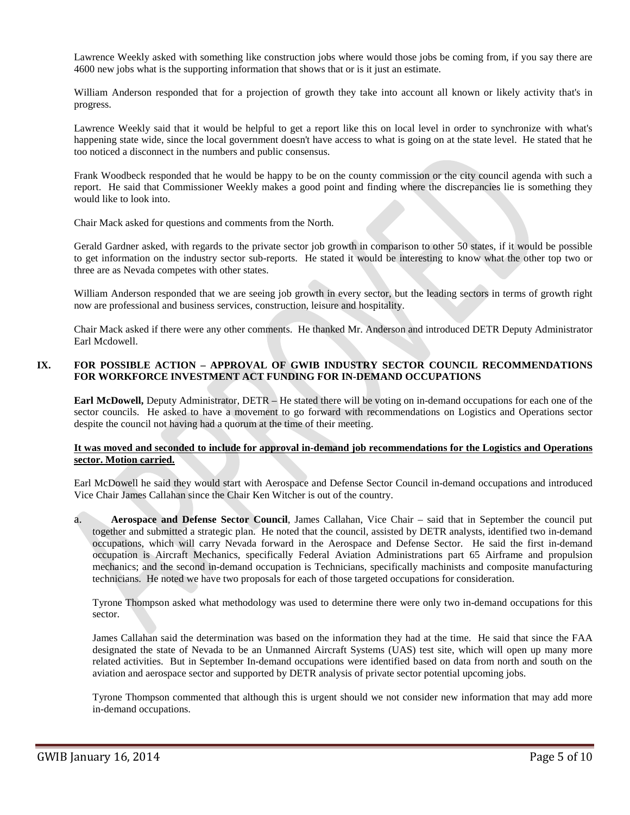Lawrence Weekly asked with something like construction jobs where would those jobs be coming from, if you say there are 4600 new jobs what is the supporting information that shows that or is it just an estimate.

William Anderson responded that for a projection of growth they take into account all known or likely activity that's in progress.

Lawrence Weekly said that it would be helpful to get a report like this on local level in order to synchronize with what's happening state wide, since the local government doesn't have access to what is going on at the state level. He stated that he too noticed a disconnect in the numbers and public consensus.

Frank Woodbeck responded that he would be happy to be on the county commission or the city council agenda with such a report. He said that Commissioner Weekly makes a good point and finding where the discrepancies lie is something they would like to look into.

Chair Mack asked for questions and comments from the North.

Gerald Gardner asked, with regards to the private sector job growth in comparison to other 50 states, if it would be possible to get information on the industry sector sub-reports. He stated it would be interesting to know what the other top two or three are as Nevada competes with other states.

William Anderson responded that we are seeing job growth in every sector, but the leading sectors in terms of growth right now are professional and business services, construction, leisure and hospitality.

Chair Mack asked if there were any other comments. He thanked Mr. Anderson and introduced DETR Deputy Administrator Earl Mcdowell.

# **IX. FOR POSSIBLE ACTION – APPROVAL OF GWIB INDUSTRY SECTOR COUNCIL RECOMMENDATIONS FOR WORKFORCE INVESTMENT ACT FUNDING FOR IN-DEMAND OCCUPATIONS**

**Earl McDowell,** Deputy Administrator, DETR – He stated there will be voting on in-demand occupations for each one of the sector councils. He asked to have a movement to go forward with recommendations on Logistics and Operations sector despite the council not having had a quorum at the time of their meeting.

### **It was moved and seconded to include for approval in-demand job recommendations for the Logistics and Operations sector. Motion carried.**

Earl McDowell he said they would start with Aerospace and Defense Sector Council in-demand occupations and introduced Vice Chair James Callahan since the Chair Ken Witcher is out of the country.

a. **Aerospace and Defense Sector Council**, James Callahan, Vice Chair – said that in September the council put together and submitted a strategic plan. He noted that the council, assisted by DETR analysts, identified two in-demand occupations, which will carry Nevada forward in the Aerospace and Defense Sector. He said the first in-demand occupation is Aircraft Mechanics, specifically Federal Aviation Administrations part 65 Airframe and propulsion mechanics; and the second in-demand occupation is Technicians, specifically machinists and composite manufacturing technicians. He noted we have two proposals for each of those targeted occupations for consideration.

Tyrone Thompson asked what methodology was used to determine there were only two in-demand occupations for this sector.

James Callahan said the determination was based on the information they had at the time. He said that since the FAA designated the state of Nevada to be an Unmanned Aircraft Systems (UAS) test site, which will open up many more related activities. But in September In-demand occupations were identified based on data from north and south on the aviation and aerospace sector and supported by DETR analysis of private sector potential upcoming jobs.

Tyrone Thompson commented that although this is urgent should we not consider new information that may add more in-demand occupations.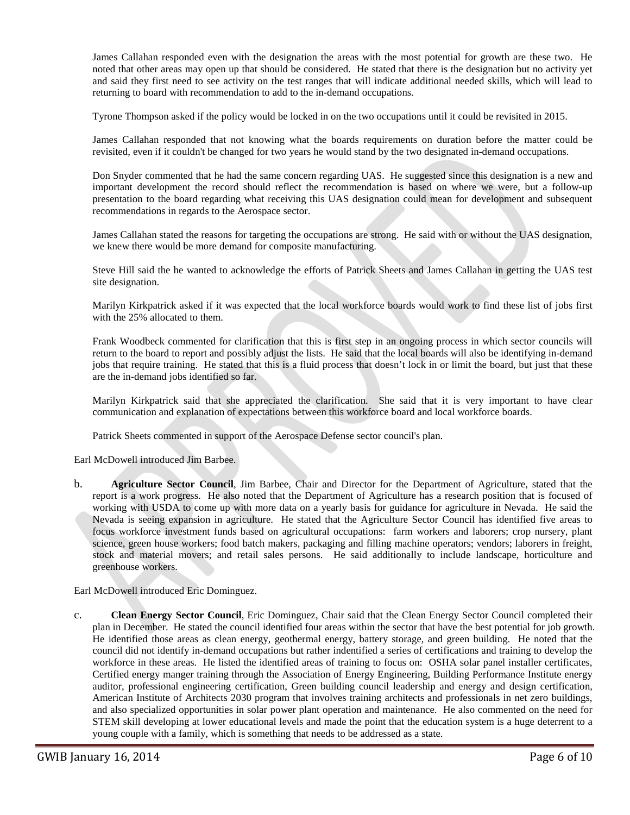James Callahan responded even with the designation the areas with the most potential for growth are these two. He noted that other areas may open up that should be considered. He stated that there is the designation but no activity yet and said they first need to see activity on the test ranges that will indicate additional needed skills, which will lead to returning to board with recommendation to add to the in-demand occupations.

Tyrone Thompson asked if the policy would be locked in on the two occupations until it could be revisited in 2015.

James Callahan responded that not knowing what the boards requirements on duration before the matter could be revisited, even if it couldn't be changed for two years he would stand by the two designated in-demand occupations.

Don Snyder commented that he had the same concern regarding UAS. He suggested since this designation is a new and important development the record should reflect the recommendation is based on where we were, but a follow-up presentation to the board regarding what receiving this UAS designation could mean for development and subsequent recommendations in regards to the Aerospace sector.

James Callahan stated the reasons for targeting the occupations are strong. He said with or without the UAS designation, we knew there would be more demand for composite manufacturing.

Steve Hill said the he wanted to acknowledge the efforts of Patrick Sheets and James Callahan in getting the UAS test site designation.

Marilyn Kirkpatrick asked if it was expected that the local workforce boards would work to find these list of jobs first with the 25% allocated to them.

Frank Woodbeck commented for clarification that this is first step in an ongoing process in which sector councils will return to the board to report and possibly adjust the lists. He said that the local boards will also be identifying in-demand jobs that require training. He stated that this is a fluid process that doesn't lock in or limit the board, but just that these are the in-demand jobs identified so far.

Marilyn Kirkpatrick said that she appreciated the clarification. She said that it is very important to have clear communication and explanation of expectations between this workforce board and local workforce boards.

Patrick Sheets commented in support of the Aerospace Defense sector council's plan.

Earl McDowell introduced Jim Barbee.

b. **Agriculture Sector Council**, Jim Barbee, Chair and Director for the Department of Agriculture, stated that the report is a work progress. He also noted that the Department of Agriculture has a research position that is focused of working with USDA to come up with more data on a yearly basis for guidance for agriculture in Nevada. He said the Nevada is seeing expansion in agriculture. He stated that the Agriculture Sector Council has identified five areas to focus workforce investment funds based on agricultural occupations: farm workers and laborers; crop nursery, plant science, green house workers; food batch makers, packaging and filling machine operators; vendors; laborers in freight, stock and material movers; and retail sales persons. He said additionally to include landscape, horticulture and greenhouse workers.

Earl McDowell introduced Eric Dominguez.

c. **Clean Energy Sector Council**, Eric Dominguez, Chair said that the Clean Energy Sector Council completed their plan in December. He stated the council identified four areas within the sector that have the best potential for job growth. He identified those areas as clean energy, geothermal energy, battery storage, and green building. He noted that the council did not identify in-demand occupations but rather indentified a series of certifications and training to develop the workforce in these areas. He listed the identified areas of training to focus on: OSHA solar panel installer certificates, Certified energy manger training through the Association of Energy Engineering, Building Performance Institute energy auditor, professional engineering certification, Green building council leadership and energy and design certification, American Institute of Architects 2030 program that involves training architects and professionals in net zero buildings, and also specialized opportunities in solar power plant operation and maintenance. He also commented on the need for STEM skill developing at lower educational levels and made the point that the education system is a huge deterrent to a young couple with a family, which is something that needs to be addressed as a state.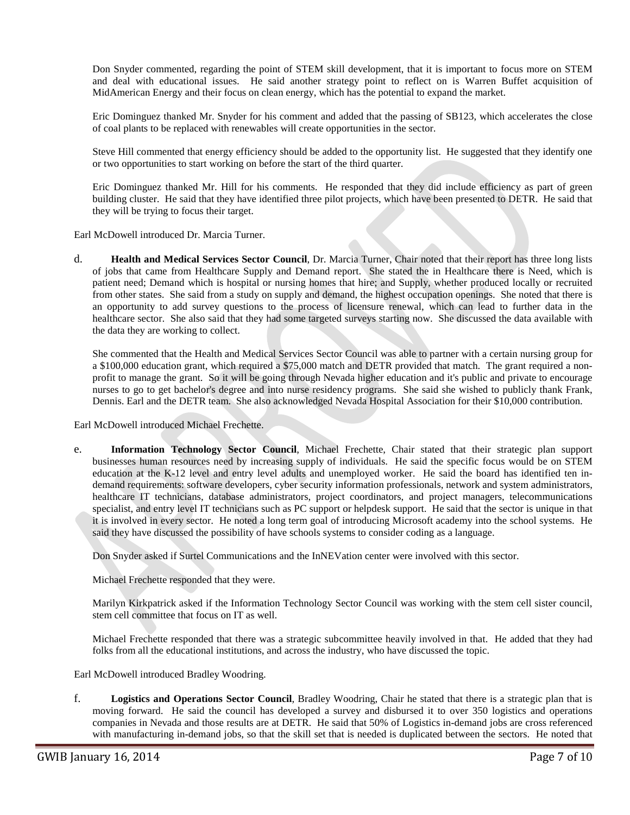Don Snyder commented, regarding the point of STEM skill development, that it is important to focus more on STEM and deal with educational issues. He said another strategy point to reflect on is Warren Buffet acquisition of MidAmerican Energy and their focus on clean energy, which has the potential to expand the market.

Eric Dominguez thanked Mr. Snyder for his comment and added that the passing of SB123, which accelerates the close of coal plants to be replaced with renewables will create opportunities in the sector.

Steve Hill commented that energy efficiency should be added to the opportunity list. He suggested that they identify one or two opportunities to start working on before the start of the third quarter.

Eric Dominguez thanked Mr. Hill for his comments. He responded that they did include efficiency as part of green building cluster. He said that they have identified three pilot projects, which have been presented to DETR. He said that they will be trying to focus their target.

Earl McDowell introduced Dr. Marcia Turner.

d. **Health and Medical Services Sector Council**, Dr. Marcia Turner, Chair noted that their report has three long lists of jobs that came from Healthcare Supply and Demand report. She stated the in Healthcare there is Need, which is patient need; Demand which is hospital or nursing homes that hire; and Supply, whether produced locally or recruited from other states. She said from a study on supply and demand, the highest occupation openings. She noted that there is an opportunity to add survey questions to the process of licensure renewal, which can lead to further data in the healthcare sector. She also said that they had some targeted surveys starting now. She discussed the data available with the data they are working to collect.

She commented that the Health and Medical Services Sector Council was able to partner with a certain nursing group for a \$100,000 education grant, which required a \$75,000 match and DETR provided that match. The grant required a nonprofit to manage the grant. So it will be going through Nevada higher education and it's public and private to encourage nurses to go to get bachelor's degree and into nurse residency programs. She said she wished to publicly thank Frank, Dennis. Earl and the DETR team. She also acknowledged Nevada Hospital Association for their \$10,000 contribution.

Earl McDowell introduced Michael Frechette.

e. **Information Technology Sector Council**, Michael Frechette, Chair stated that their strategic plan support businesses human resources need by increasing supply of individuals. He said the specific focus would be on STEM education at the K-12 level and entry level adults and unemployed worker. He said the board has identified ten indemand requirements: software developers, cyber security information professionals, network and system administrators, healthcare IT technicians, database administrators, project coordinators, and project managers, telecommunications specialist, and entry level IT technicians such as PC support or helpdesk support. He said that the sector is unique in that it is involved in every sector. He noted a long term goal of introducing Microsoft academy into the school systems. He said they have discussed the possibility of have schools systems to consider coding as a language.

Don Snyder asked if Surtel Communications and the InNEVation center were involved with this sector.

Michael Frechette responded that they were.

Marilyn Kirkpatrick asked if the Information Technology Sector Council was working with the stem cell sister council, stem cell committee that focus on IT as well.

Michael Frechette responded that there was a strategic subcommittee heavily involved in that. He added that they had folks from all the educational institutions, and across the industry, who have discussed the topic.

Earl McDowell introduced Bradley Woodring.

f. **Logistics and Operations Sector Council**, Bradley Woodring, Chair he stated that there is a strategic plan that is moving forward. He said the council has developed a survey and disbursed it to over 350 logistics and operations companies in Nevada and those results are at DETR. He said that 50% of Logistics in-demand jobs are cross referenced with manufacturing in-demand jobs, so that the skill set that is needed is duplicated between the sectors. He noted that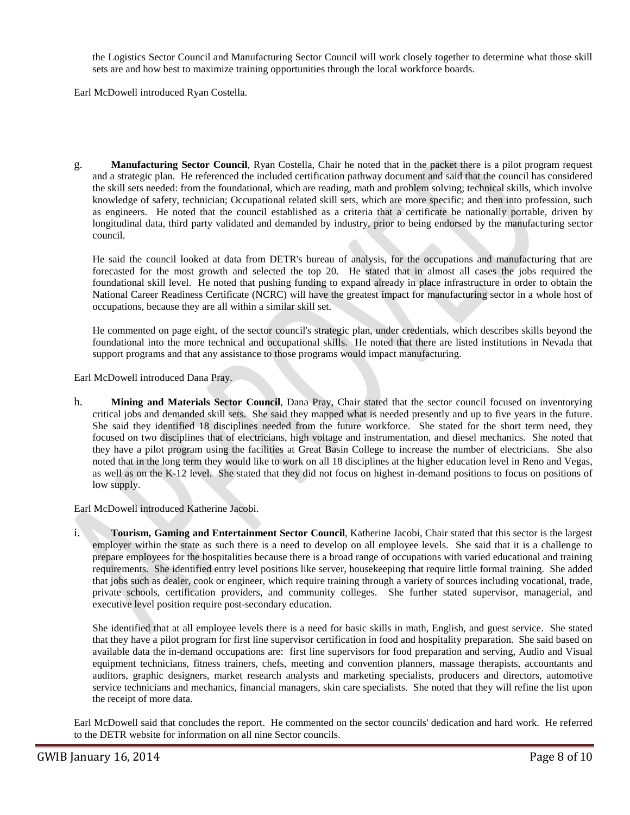the Logistics Sector Council and Manufacturing Sector Council will work closely together to determine what those skill sets are and how best to maximize training opportunities through the local workforce boards.

Earl McDowell introduced Ryan Costella.

g. **Manufacturing Sector Council**, Ryan Costella, Chair he noted that in the packet there is a pilot program request and a strategic plan. He referenced the included certification pathway document and said that the council has considered the skill sets needed: from the foundational, which are reading, math and problem solving; technical skills, which involve knowledge of safety, technician; Occupational related skill sets, which are more specific; and then into profession, such as engineers. He noted that the council established as a criteria that a certificate be nationally portable, driven by longitudinal data, third party validated and demanded by industry, prior to being endorsed by the manufacturing sector council.

He said the council looked at data from DETR's bureau of analysis, for the occupations and manufacturing that are forecasted for the most growth and selected the top 20. He stated that in almost all cases the jobs required the foundational skill level. He noted that pushing funding to expand already in place infrastructure in order to obtain the National Career Readiness Certificate (NCRC) will have the greatest impact for manufacturing sector in a whole host of occupations, because they are all within a similar skill set.

He commented on page eight, of the sector council's strategic plan, under credentials, which describes skills beyond the foundational into the more technical and occupational skills. He noted that there are listed institutions in Nevada that support programs and that any assistance to those programs would impact manufacturing.

Earl McDowell introduced Dana Pray.

h. **Mining and Materials Sector Council**, Dana Pray, Chair stated that the sector council focused on inventorying critical jobs and demanded skill sets. She said they mapped what is needed presently and up to five years in the future. She said they identified 18 disciplines needed from the future workforce. She stated for the short term need, they focused on two disciplines that of electricians, high voltage and instrumentation, and diesel mechanics. She noted that they have a pilot program using the facilities at Great Basin College to increase the number of electricians. She also noted that in the long term they would like to work on all 18 disciplines at the higher education level in Reno and Vegas, as well as on the K-12 level. She stated that they did not focus on highest in-demand positions to focus on positions of low supply.

Earl McDowell introduced Katherine Jacobi.

i. **Tourism, Gaming and Entertainment Sector Council**, Katherine Jacobi, Chair stated that this sector is the largest employer within the state as such there is a need to develop on all employee levels. She said that it is a challenge to prepare employees for the hospitalities because there is a broad range of occupations with varied educational and training requirements. She identified entry level positions like server, housekeeping that require little formal training. She added that jobs such as dealer, cook or engineer, which require training through a variety of sources including vocational, trade, private schools, certification providers, and community colleges. She further stated supervisor, managerial, and executive level position require post-secondary education.

She identified that at all employee levels there is a need for basic skills in math, English, and guest service. She stated that they have a pilot program for first line supervisor certification in food and hospitality preparation. She said based on available data the in-demand occupations are: first line supervisors for food preparation and serving, Audio and Visual equipment technicians, fitness trainers, chefs, meeting and convention planners, massage therapists, accountants and auditors, graphic designers, market research analysts and marketing specialists, producers and directors, automotive service technicians and mechanics, financial managers, skin care specialists. She noted that they will refine the list upon the receipt of more data.

Earl McDowell said that concludes the report. He commented on the sector councils' dedication and hard work. He referred to the DETR website for information on all nine Sector councils.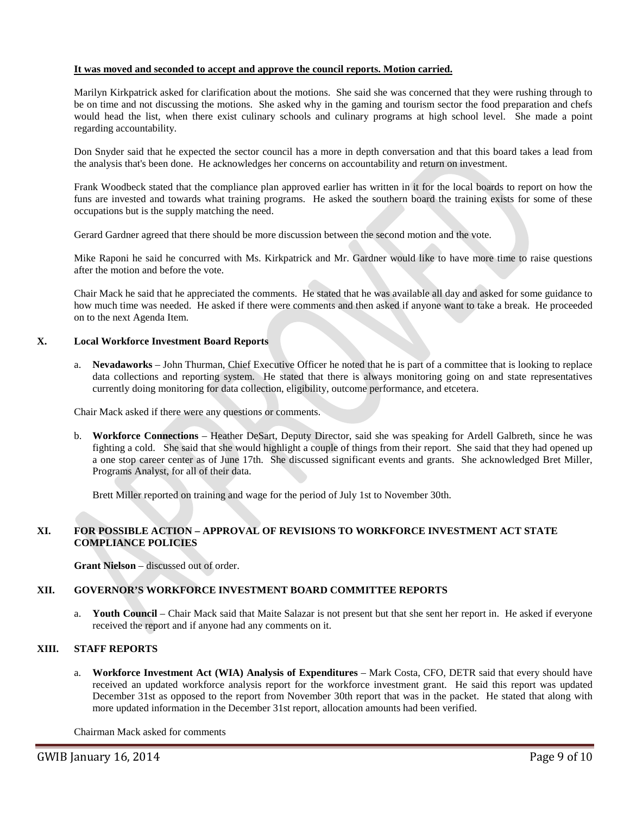### **It was moved and seconded to accept and approve the council reports. Motion carried.**

Marilyn Kirkpatrick asked for clarification about the motions. She said she was concerned that they were rushing through to be on time and not discussing the motions. She asked why in the gaming and tourism sector the food preparation and chefs would head the list, when there exist culinary schools and culinary programs at high school level. She made a point regarding accountability.

Don Snyder said that he expected the sector council has a more in depth conversation and that this board takes a lead from the analysis that's been done. He acknowledges her concerns on accountability and return on investment.

Frank Woodbeck stated that the compliance plan approved earlier has written in it for the local boards to report on how the funs are invested and towards what training programs. He asked the southern board the training exists for some of these occupations but is the supply matching the need.

Gerard Gardner agreed that there should be more discussion between the second motion and the vote.

Mike Raponi he said he concurred with Ms. Kirkpatrick and Mr. Gardner would like to have more time to raise questions after the motion and before the vote.

Chair Mack he said that he appreciated the comments. He stated that he was available all day and asked for some guidance to how much time was needed. He asked if there were comments and then asked if anyone want to take a break. He proceeded on to the next Agenda Item.

#### **X. Local Workforce Investment Board Reports**

a. **Nevadaworks** – John Thurman, Chief Executive Officer he noted that he is part of a committee that is looking to replace data collections and reporting system. He stated that there is always monitoring going on and state representatives currently doing monitoring for data collection, eligibility, outcome performance, and etcetera.

Chair Mack asked if there were any questions or comments.

b. **Workforce Connections** – Heather DeSart, Deputy Director, said she was speaking for Ardell Galbreth, since he was fighting a cold. She said that she would highlight a couple of things from their report. She said that they had opened up a one stop career center as of June 17th. She discussed significant events and grants. She acknowledged Bret Miller, Programs Analyst, for all of their data.

Brett Miller reported on training and wage for the period of July 1st to November 30th.

# **XI. FOR POSSIBLE ACTION – APPROVAL OF REVISIONS TO WORKFORCE INVESTMENT ACT STATE COMPLIANCE POLICIES**

**Grant Nielson** – discussed out of order.

## **XII. GOVERNOR'S WORKFORCE INVESTMENT BOARD COMMITTEE REPORTS**

a. **Youth Council** – Chair Mack said that Maite Salazar is not present but that she sent her report in. He asked if everyone received the report and if anyone had any comments on it.

## **XIII. STAFF REPORTS**

a. **Workforce Investment Act (WIA) Analysis of Expenditures** – Mark Costa, CFO, DETR said that every should have received an updated workforce analysis report for the workforce investment grant. He said this report was updated December 31st as opposed to the report from November 30th report that was in the packet. He stated that along with more updated information in the December 31st report, allocation amounts had been verified.

Chairman Mack asked for comments